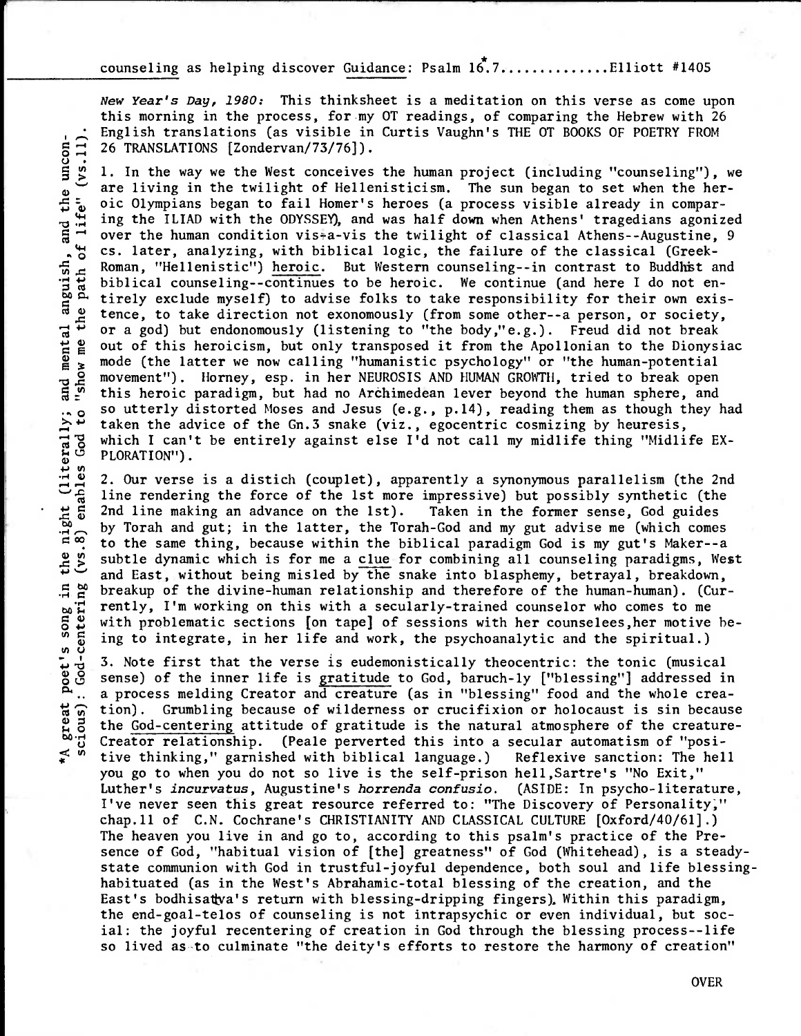counseling as helping discover Guidance: Psalm  $16.7...$ ...........Elliott #1405

New Year's Day, **1980:** This thinksheet is a meditation on this verse as come upon this morning in the process, for my OT readings, of comparing the Hebrew with 26 26 TRANSLATIONS [Zondervan/73/76]).

English translations (as visible in Curtis Vaughn's THE OT BOOKS OF POETRY FROM<br>  $\frac{1}{2}$  26 TRANSLATIONS [Zondervan/73/76]].<br>
1. In the way we the West conceives the human project (including "counseling"),<br>
are living i 1. In the way we the West conceives the human project (including "counseling"), we are living in the twilight of Hellenisticism. The sun began to set when the heroic Olympians began to fail Homer's heroes (a process visible already in comparing the ILIAD with the ODYSSEY), and was half down when Athens' tragedians agonized over the human condition vis $*a$ -vis the twilight of classical Athens--Augustine, 9 cs. later, analyzing, with biblical logic, the failure of the classical (Greek- Roman, "Hellenistic") heroic. But Western counseling--in contrast to Buddhist and<br>biblical counseling--continues to be heroic. We continue (and here I do not en-<br>tirely exclude myself) to advise folks to take responsibilit biblical counseling--continues to be heroic. We continue (and here I do not en- • tirely exclude myself) to advise folks to take responsibility for their own exis-<br>exclude myself) to advise folks to take responsibility for their own exis-<br>exerce to take direction not exonomously (from some other-s per dependence, to take direction not exonomously (from some other--a person, or society, or a god) but endonomously (listening to "the body,"e.g.). Freud did not break out of this heroicism, but only transposed it from the A or a god) but endonomously (listening to "the body,"e.g.). Freud did not break out of this heroicism, but only transposed it from the Apollonian to the Dionysiac mode (the latter we now calling "humanistic psychology" or "the human-potential movement"). Horney, esp. in her NEUROSIS AND HUMAN GROWTH, tried to break open this heroic paradigm, but had no Archimedean lever beyond the human sphere, and so utterly distorted Moses and Jesus (e.g., p.14), reading them as though they had<br>  $\frac{1}{10}$  taken the advice of the Gn.3 snake (viz., egocentric cosmizing by heuresis,<br>
which I can't be entirely against else I'd not ca taken the advice of the Gn.3 snake (viz., egocentric cosmizing by heuresis, which I can't be entirely against else I'd not call my midlife thing "Midlife EX-PLORATION").

• 2. Our verse is a distich (couplet), apparently a synonymous parallelism (the 2nd line rendering the force of the 1st more impressive) but possibly synthetic (the 2nd line making an advance on the 1st). Taken in the former sense, God guides by Torah and gut; in the latter, the Torah-God and my gut advise me (which comes  $\infty$  to the same thing, because within the biblical paradigm God is my gut's Maker--a to the same thing, because within the biblical paradigm God is my gut's Maker--a subtle dynamic which is for me a clue for combining all counseling paradigms, West and East, without being misled by the snake into blasphemy, betrayal, breakdown, breakup of the divine-human relationship and therefore of the human-human). (Currently, I'm working on this with a secularly-trained counselor who comes to me with problematic sections [on tape] of sessions with her counselees,her motive be ing to integrate, in her life and work, the psychoanalytic and the spiritual.)

3. Note first that the verse is eudemonistically theocentric: the tonic (musical sense) of the inner life is gratitude to God, baruch-ly ["blessing"] addressed in .. a process melding Creator and creature (as in "blessing" food and the whole crea-<br>  $\widehat{B}$  tion). Grumbling because of wilderness or crucifixion or holocaust is sin because<br>  $\widehat{B}$  the God-centering attitude of grat tion). Grumbling because of wilderness or crucifixion or holocaust is sin because the God-centering attitude of gratitude is the natural atmosphere of the creature- $\overset{\text{do}}{f}$  Creator relationship. (Peale perverted this into a secular automatism of "posi-<br> $\overset{\text{do}}{f}$  ive thinking," garnished with biblical language.) Reflexive sanction: The hel tive thinking," garnished with biblical language.) Reflexive sanction: The hell you go to when you do not so live is the self-prison hell,Sartre's "No Exit," Luther's incurvatus, Augustine's horrenda confusio. (ASIDE: In psycho-literature, I've never seen this great resource referred to: "The Discovery of Personality;" chap.11 of C.N. Cochrane's CHRISTIANITY AND CLASSICAL CULTURE [Oxford/40/61].) The heaven you live in and go to, according to this psalm's practice of the Presence of God, "habitual vision of [the] greatness" of God (Whitehead), is a steadystate communion with God in trustful-joyful dependence, both soul and life blessinghabituated (as in the West's Abrahamic-total blessing of the creation, and the East's bodhisat va's return with blessing-dripping fingers). Within this paradigm, the end-goal-telos of counseling is not intrapsychic or even individual, but social: the joyful recentering of creation in God through the blessing process--life so lived as-to culminate "the deity's efforts to restore the harmony of creation"

OVER